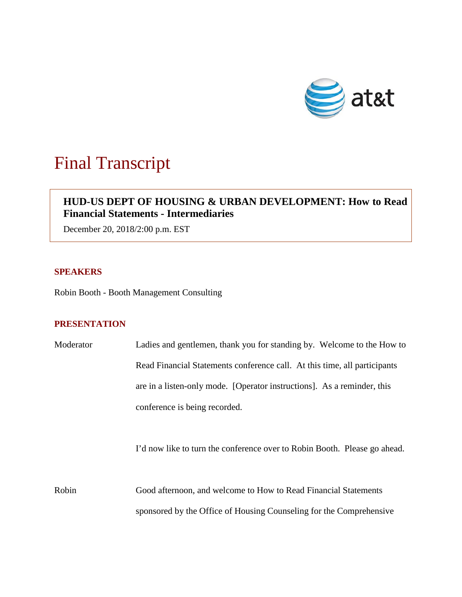

# Final Transcript

# **HUD-US DEPT OF HOUSING & URBAN DEVELOPMENT: How to Read Financial Statements - Intermediaries**

December 20, 2018/2:00 p.m. EST

### **SPEAKERS**

Robin Booth - Booth Management Consulting

## **PRESENTATION**

| Moderator | Ladies and gentlemen, thank you for standing by. Welcome to the How to    |
|-----------|---------------------------------------------------------------------------|
|           | Read Financial Statements conference call. At this time, all participants |
|           | are in a listen-only mode. [Operator instructions]. As a reminder, this   |
|           | conference is being recorded.                                             |
|           | I'd now like to turn the conference over to Robin Booth. Please go ahead. |
| Robin     | Good afternoon, and welcome to How to Read Financial Statements           |
|           | sponsored by the Office of Housing Counseling for the Comprehensive       |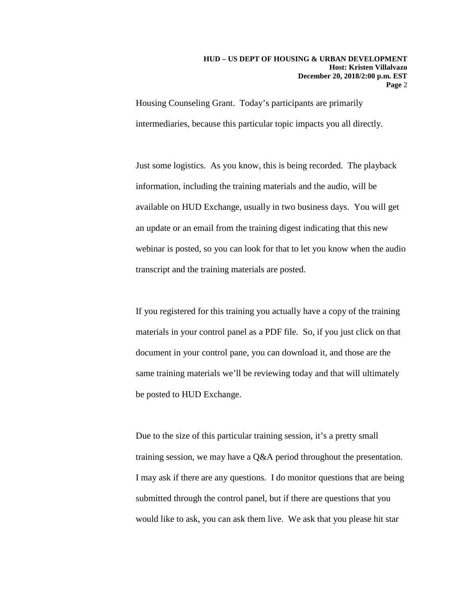#### **HUD – US DEPT OF HOUSING & URBAN DEVELOPMENT Host: Kristen Villalvazo December 20, 2018/2:00 p.m. EST Page** 2

Housing Counseling Grant. Today's participants are primarily intermediaries, because this particular topic impacts you all directly.

Just some logistics. As you know, this is being recorded. The playback information, including the training materials and the audio, will be available on HUD Exchange, usually in two business days. You will get an update or an email from the training digest indicating that this new webinar is posted, so you can look for that to let you know when the audio transcript and the training materials are posted.

If you registered for this training you actually have a copy of the training materials in your control panel as a PDF file. So, if you just click on that document in your control pane, you can download it, and those are the same training materials we'll be reviewing today and that will ultimately be posted to HUD Exchange.

Due to the size of this particular training session, it's a pretty small training session, we may have a Q&A period throughout the presentation. I may ask if there are any questions. I do monitor questions that are being submitted through the control panel, but if there are questions that you would like to ask, you can ask them live. We ask that you please hit star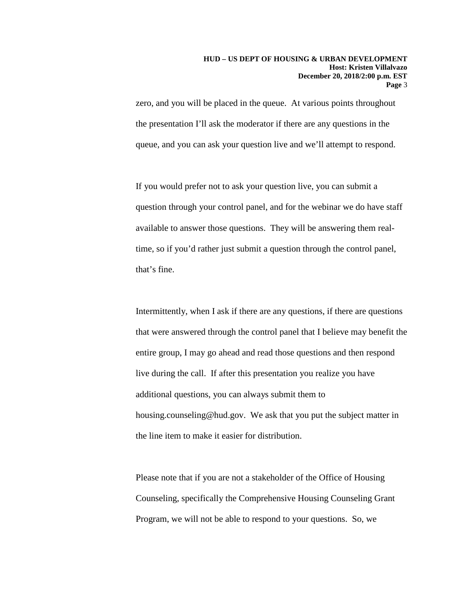zero, and you will be placed in the queue. At various points throughout the presentation I'll ask the moderator if there are any questions in the queue, and you can ask your question live and we'll attempt to respond.

If you would prefer not to ask your question live, you can submit a question through your control panel, and for the webinar we do have staff available to answer those questions. They will be answering them realtime, so if you'd rather just submit a question through the control panel, that's fine.

Intermittently, when I ask if there are any questions, if there are questions that were answered through the control panel that I believe may benefit the entire group, I may go ahead and read those questions and then respond live during the call. If after this presentation you realize you have additional questions, you can always submit them to housing.counseling@hud.gov. We ask that you put the subject matter in the line item to make it easier for distribution.

Please note that if you are not a stakeholder of the Office of Housing Counseling, specifically the Comprehensive Housing Counseling Grant Program, we will not be able to respond to your questions. So, we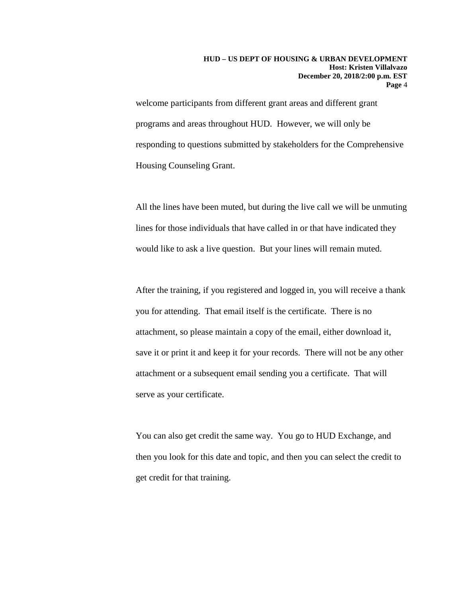welcome participants from different grant areas and different grant programs and areas throughout HUD. However, we will only be responding to questions submitted by stakeholders for the Comprehensive Housing Counseling Grant.

All the lines have been muted, but during the live call we will be unmuting lines for those individuals that have called in or that have indicated they would like to ask a live question. But your lines will remain muted.

After the training, if you registered and logged in, you will receive a thank you for attending. That email itself is the certificate. There is no attachment, so please maintain a copy of the email, either download it, save it or print it and keep it for your records. There will not be any other attachment or a subsequent email sending you a certificate. That will serve as your certificate.

You can also get credit the same way. You go to HUD Exchange, and then you look for this date and topic, and then you can select the credit to get credit for that training.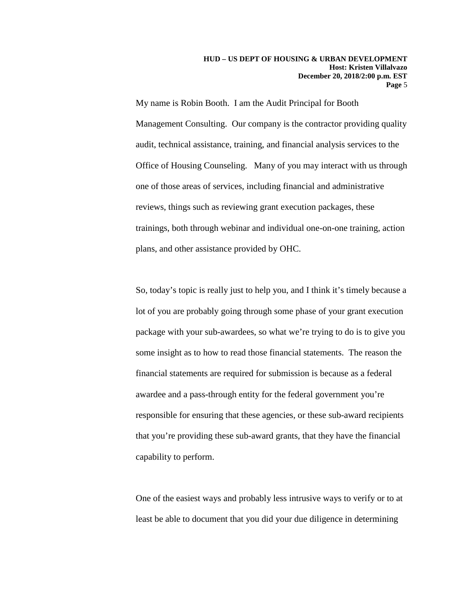My name is Robin Booth. I am the Audit Principal for Booth Management Consulting. Our company is the contractor providing quality audit, technical assistance, training, and financial analysis services to the Office of Housing Counseling. Many of you may interact with us through one of those areas of services, including financial and administrative reviews, things such as reviewing grant execution packages, these trainings, both through webinar and individual one-on-one training, action plans, and other assistance provided by OHC.

So, today's topic is really just to help you, and I think it's timely because a lot of you are probably going through some phase of your grant execution package with your sub-awardees, so what we're trying to do is to give you some insight as to how to read those financial statements. The reason the financial statements are required for submission is because as a federal awardee and a pass-through entity for the federal government you're responsible for ensuring that these agencies, or these sub-award recipients that you're providing these sub-award grants, that they have the financial capability to perform.

One of the easiest ways and probably less intrusive ways to verify or to at least be able to document that you did your due diligence in determining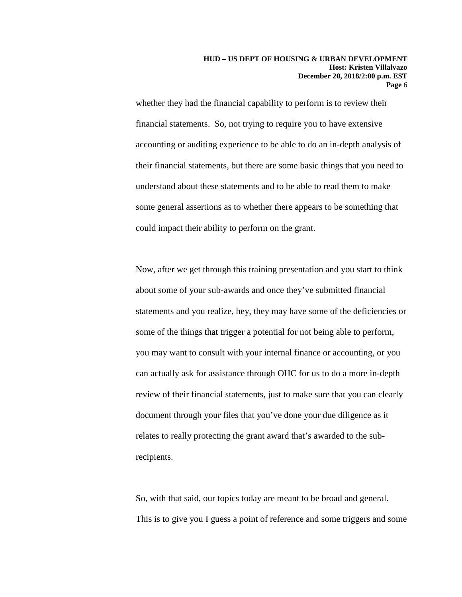whether they had the financial capability to perform is to review their financial statements. So, not trying to require you to have extensive accounting or auditing experience to be able to do an in-depth analysis of their financial statements, but there are some basic things that you need to understand about these statements and to be able to read them to make some general assertions as to whether there appears to be something that could impact their ability to perform on the grant.

Now, after we get through this training presentation and you start to think about some of your sub-awards and once they've submitted financial statements and you realize, hey, they may have some of the deficiencies or some of the things that trigger a potential for not being able to perform, you may want to consult with your internal finance or accounting, or you can actually ask for assistance through OHC for us to do a more in-depth review of their financial statements, just to make sure that you can clearly document through your files that you've done your due diligence as it relates to really protecting the grant award that's awarded to the subrecipients.

So, with that said, our topics today are meant to be broad and general. This is to give you I guess a point of reference and some triggers and some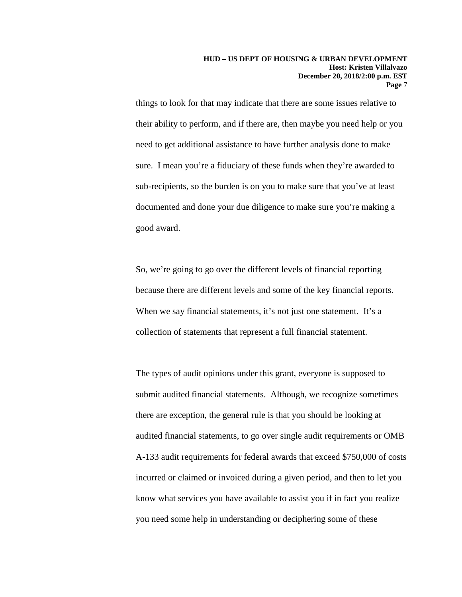things to look for that may indicate that there are some issues relative to their ability to perform, and if there are, then maybe you need help or you need to get additional assistance to have further analysis done to make sure. I mean you're a fiduciary of these funds when they're awarded to sub-recipients, so the burden is on you to make sure that you've at least documented and done your due diligence to make sure you're making a good award.

So, we're going to go over the different levels of financial reporting because there are different levels and some of the key financial reports. When we say financial statements, it's not just one statement. It's a collection of statements that represent a full financial statement.

The types of audit opinions under this grant, everyone is supposed to submit audited financial statements. Although, we recognize sometimes there are exception, the general rule is that you should be looking at audited financial statements, to go over single audit requirements or OMB A-133 audit requirements for federal awards that exceed \$750,000 of costs incurred or claimed or invoiced during a given period, and then to let you know what services you have available to assist you if in fact you realize you need some help in understanding or deciphering some of these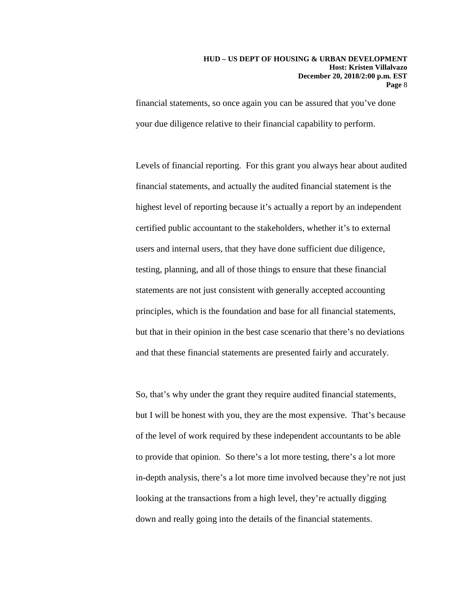#### **HUD – US DEPT OF HOUSING & URBAN DEVELOPMENT Host: Kristen Villalvazo December 20, 2018/2:00 p.m. EST Page** 8

financial statements, so once again you can be assured that you've done your due diligence relative to their financial capability to perform.

Levels of financial reporting. For this grant you always hear about audited financial statements, and actually the audited financial statement is the highest level of reporting because it's actually a report by an independent certified public accountant to the stakeholders, whether it's to external users and internal users, that they have done sufficient due diligence, testing, planning, and all of those things to ensure that these financial statements are not just consistent with generally accepted accounting principles, which is the foundation and base for all financial statements, but that in their opinion in the best case scenario that there's no deviations and that these financial statements are presented fairly and accurately.

So, that's why under the grant they require audited financial statements, but I will be honest with you, they are the most expensive. That's because of the level of work required by these independent accountants to be able to provide that opinion. So there's a lot more testing, there's a lot more in-depth analysis, there's a lot more time involved because they're not just looking at the transactions from a high level, they're actually digging down and really going into the details of the financial statements.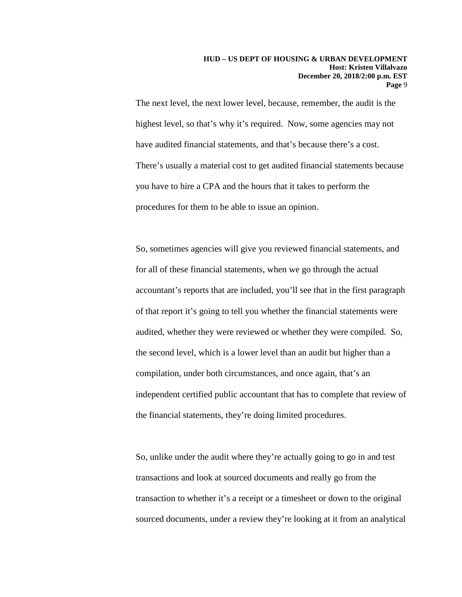The next level, the next lower level, because, remember, the audit is the highest level, so that's why it's required. Now, some agencies may not have audited financial statements, and that's because there's a cost. There's usually a material cost to get audited financial statements because you have to hire a CPA and the hours that it takes to perform the procedures for them to be able to issue an opinion.

So, sometimes agencies will give you reviewed financial statements, and for all of these financial statements, when we go through the actual accountant's reports that are included, you'll see that in the first paragraph of that report it's going to tell you whether the financial statements were audited, whether they were reviewed or whether they were compiled. So, the second level, which is a lower level than an audit but higher than a compilation, under both circumstances, and once again, that's an independent certified public accountant that has to complete that review of the financial statements, they're doing limited procedures.

So, unlike under the audit where they're actually going to go in and test transactions and look at sourced documents and really go from the transaction to whether it's a receipt or a timesheet or down to the original sourced documents, under a review they're looking at it from an analytical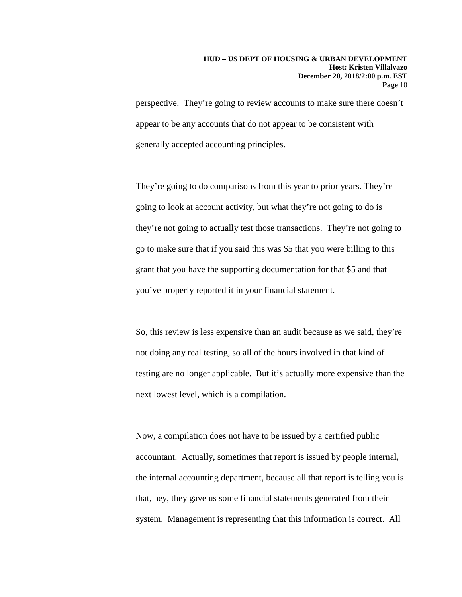perspective. They're going to review accounts to make sure there doesn't appear to be any accounts that do not appear to be consistent with generally accepted accounting principles.

They're going to do comparisons from this year to prior years. They're going to look at account activity, but what they're not going to do is they're not going to actually test those transactions. They're not going to go to make sure that if you said this was \$5 that you were billing to this grant that you have the supporting documentation for that \$5 and that you've properly reported it in your financial statement.

So, this review is less expensive than an audit because as we said, they're not doing any real testing, so all of the hours involved in that kind of testing are no longer applicable. But it's actually more expensive than the next lowest level, which is a compilation.

Now, a compilation does not have to be issued by a certified public accountant. Actually, sometimes that report is issued by people internal, the internal accounting department, because all that report is telling you is that, hey, they gave us some financial statements generated from their system. Management is representing that this information is correct. All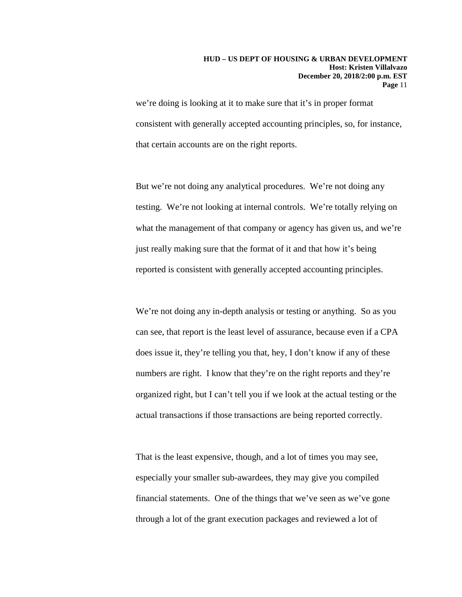#### **HUD – US DEPT OF HOUSING & URBAN DEVELOPMENT Host: Kristen Villalvazo December 20, 2018/2:00 p.m. EST Page** 11

we're doing is looking at it to make sure that it's in proper format consistent with generally accepted accounting principles, so, for instance, that certain accounts are on the right reports.

But we're not doing any analytical procedures. We're not doing any testing. We're not looking at internal controls. We're totally relying on what the management of that company or agency has given us, and we're just really making sure that the format of it and that how it's being reported is consistent with generally accepted accounting principles.

We're not doing any in-depth analysis or testing or anything. So as you can see, that report is the least level of assurance, because even if a CPA does issue it, they're telling you that, hey, I don't know if any of these numbers are right. I know that they're on the right reports and they're organized right, but I can't tell you if we look at the actual testing or the actual transactions if those transactions are being reported correctly.

That is the least expensive, though, and a lot of times you may see, especially your smaller sub-awardees, they may give you compiled financial statements. One of the things that we've seen as we've gone through a lot of the grant execution packages and reviewed a lot of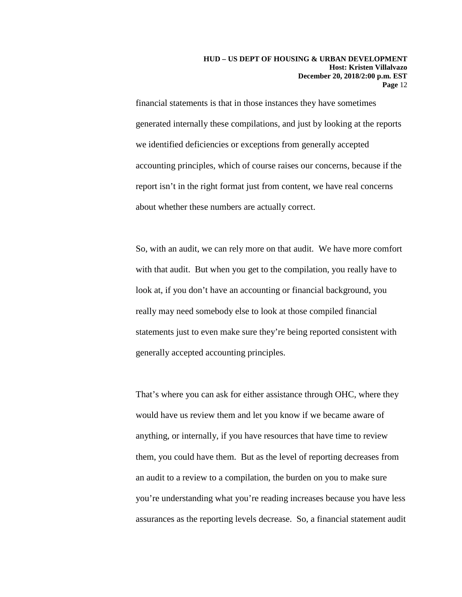financial statements is that in those instances they have sometimes generated internally these compilations, and just by looking at the reports we identified deficiencies or exceptions from generally accepted accounting principles, which of course raises our concerns, because if the report isn't in the right format just from content, we have real concerns about whether these numbers are actually correct.

So, with an audit, we can rely more on that audit. We have more comfort with that audit. But when you get to the compilation, you really have to look at, if you don't have an accounting or financial background, you really may need somebody else to look at those compiled financial statements just to even make sure they're being reported consistent with generally accepted accounting principles.

That's where you can ask for either assistance through OHC, where they would have us review them and let you know if we became aware of anything, or internally, if you have resources that have time to review them, you could have them. But as the level of reporting decreases from an audit to a review to a compilation, the burden on you to make sure you're understanding what you're reading increases because you have less assurances as the reporting levels decrease. So, a financial statement audit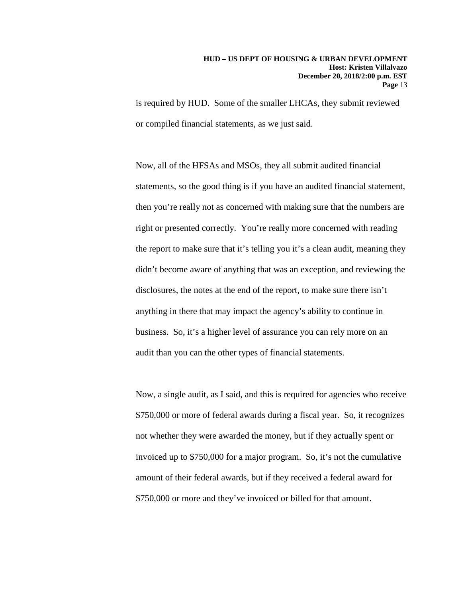is required by HUD. Some of the smaller LHCAs, they submit reviewed or compiled financial statements, as we just said.

Now, all of the HFSAs and MSOs, they all submit audited financial statements, so the good thing is if you have an audited financial statement, then you're really not as concerned with making sure that the numbers are right or presented correctly. You're really more concerned with reading the report to make sure that it's telling you it's a clean audit, meaning they didn't become aware of anything that was an exception, and reviewing the disclosures, the notes at the end of the report, to make sure there isn't anything in there that may impact the agency's ability to continue in business. So, it's a higher level of assurance you can rely more on an audit than you can the other types of financial statements.

Now, a single audit, as I said, and this is required for agencies who receive \$750,000 or more of federal awards during a fiscal year. So, it recognizes not whether they were awarded the money, but if they actually spent or invoiced up to \$750,000 for a major program. So, it's not the cumulative amount of their federal awards, but if they received a federal award for \$750,000 or more and they've invoiced or billed for that amount.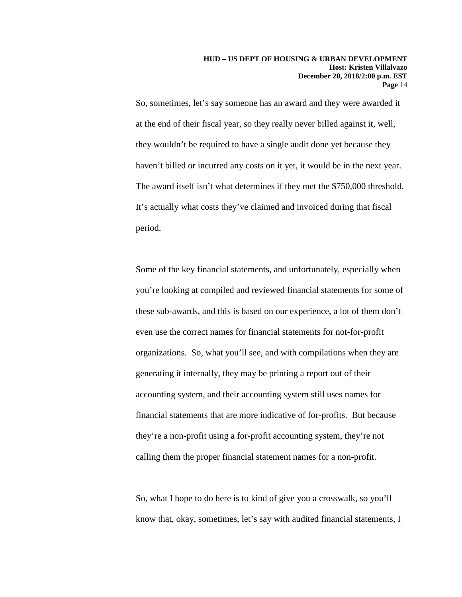So, sometimes, let's say someone has an award and they were awarded it at the end of their fiscal year, so they really never billed against it, well, they wouldn't be required to have a single audit done yet because they haven't billed or incurred any costs on it yet, it would be in the next year. The award itself isn't what determines if they met the \$750,000 threshold. It's actually what costs they've claimed and invoiced during that fiscal period.

Some of the key financial statements, and unfortunately, especially when you're looking at compiled and reviewed financial statements for some of these sub-awards, and this is based on our experience, a lot of them don't even use the correct names for financial statements for not-for-profit organizations. So, what you'll see, and with compilations when they are generating it internally, they may be printing a report out of their accounting system, and their accounting system still uses names for financial statements that are more indicative of for-profits. But because they're a non-profit using a for-profit accounting system, they're not calling them the proper financial statement names for a non-profit.

So, what I hope to do here is to kind of give you a crosswalk, so you'll know that, okay, sometimes, let's say with audited financial statements, I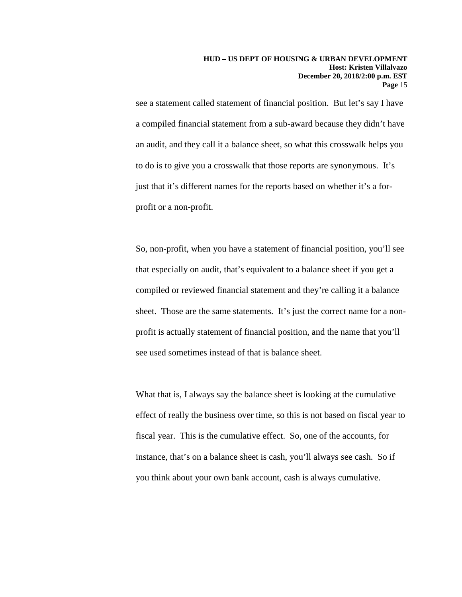see a statement called statement of financial position. But let's say I have a compiled financial statement from a sub-award because they didn't have an audit, and they call it a balance sheet, so what this crosswalk helps you to do is to give you a crosswalk that those reports are synonymous. It's just that it's different names for the reports based on whether it's a forprofit or a non-profit.

So, non-profit, when you have a statement of financial position, you'll see that especially on audit, that's equivalent to a balance sheet if you get a compiled or reviewed financial statement and they're calling it a balance sheet. Those are the same statements. It's just the correct name for a nonprofit is actually statement of financial position, and the name that you'll see used sometimes instead of that is balance sheet.

What that is, I always say the balance sheet is looking at the cumulative effect of really the business over time, so this is not based on fiscal year to fiscal year. This is the cumulative effect. So, one of the accounts, for instance, that's on a balance sheet is cash, you'll always see cash. So if you think about your own bank account, cash is always cumulative.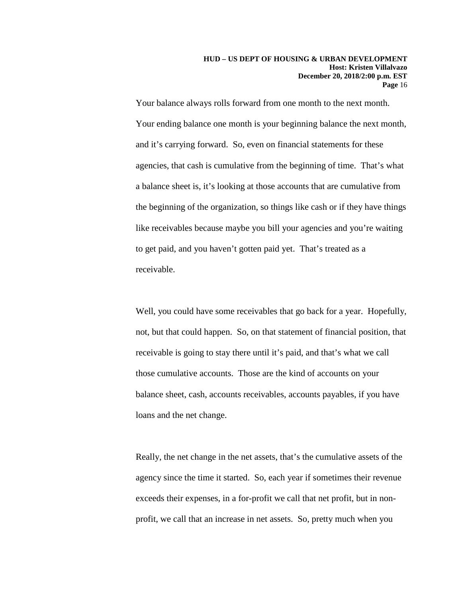Your balance always rolls forward from one month to the next month. Your ending balance one month is your beginning balance the next month, and it's carrying forward. So, even on financial statements for these agencies, that cash is cumulative from the beginning of time. That's what a balance sheet is, it's looking at those accounts that are cumulative from the beginning of the organization, so things like cash or if they have things like receivables because maybe you bill your agencies and you're waiting to get paid, and you haven't gotten paid yet. That's treated as a receivable.

Well, you could have some receivables that go back for a year. Hopefully, not, but that could happen. So, on that statement of financial position, that receivable is going to stay there until it's paid, and that's what we call those cumulative accounts. Those are the kind of accounts on your balance sheet, cash, accounts receivables, accounts payables, if you have loans and the net change.

Really, the net change in the net assets, that's the cumulative assets of the agency since the time it started. So, each year if sometimes their revenue exceeds their expenses, in a for-profit we call that net profit, but in nonprofit, we call that an increase in net assets. So, pretty much when you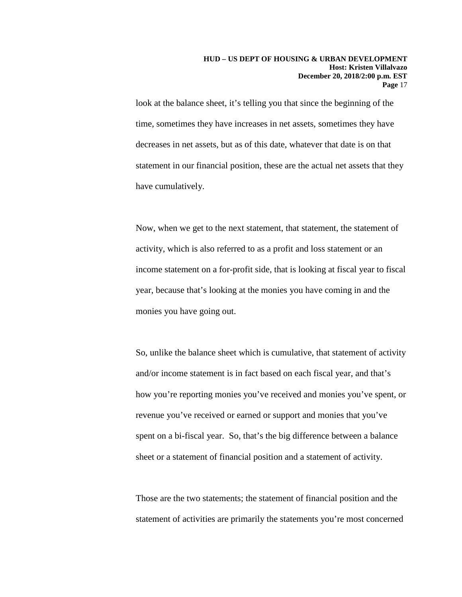look at the balance sheet, it's telling you that since the beginning of the time, sometimes they have increases in net assets, sometimes they have decreases in net assets, but as of this date, whatever that date is on that statement in our financial position, these are the actual net assets that they have cumulatively.

Now, when we get to the next statement, that statement, the statement of activity, which is also referred to as a profit and loss statement or an income statement on a for-profit side, that is looking at fiscal year to fiscal year, because that's looking at the monies you have coming in and the monies you have going out.

So, unlike the balance sheet which is cumulative, that statement of activity and/or income statement is in fact based on each fiscal year, and that's how you're reporting monies you've received and monies you've spent, or revenue you've received or earned or support and monies that you've spent on a bi-fiscal year. So, that's the big difference between a balance sheet or a statement of financial position and a statement of activity.

Those are the two statements; the statement of financial position and the statement of activities are primarily the statements you're most concerned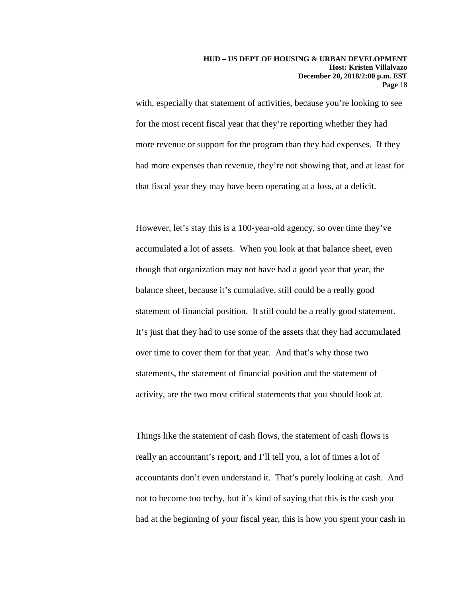with, especially that statement of activities, because you're looking to see for the most recent fiscal year that they're reporting whether they had more revenue or support for the program than they had expenses. If they had more expenses than revenue, they're not showing that, and at least for that fiscal year they may have been operating at a loss, at a deficit.

However, let's stay this is a 100-year-old agency, so over time they've accumulated a lot of assets. When you look at that balance sheet, even though that organization may not have had a good year that year, the balance sheet, because it's cumulative, still could be a really good statement of financial position. It still could be a really good statement. It's just that they had to use some of the assets that they had accumulated over time to cover them for that year. And that's why those two statements, the statement of financial position and the statement of activity, are the two most critical statements that you should look at.

Things like the statement of cash flows, the statement of cash flows is really an accountant's report, and I'll tell you, a lot of times a lot of accountants don't even understand it. That's purely looking at cash. And not to become too techy, but it's kind of saying that this is the cash you had at the beginning of your fiscal year, this is how you spent your cash in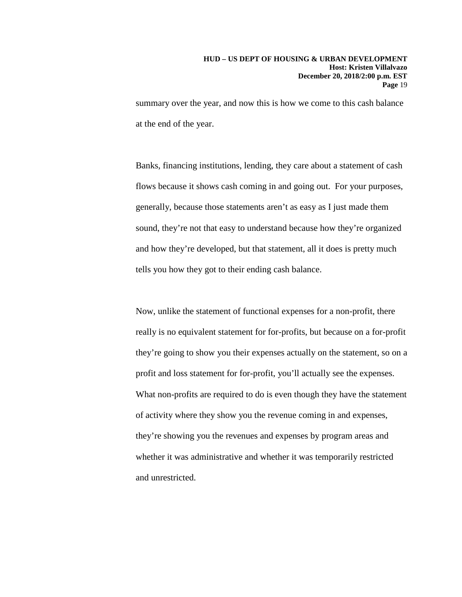summary over the year, and now this is how we come to this cash balance at the end of the year.

Banks, financing institutions, lending, they care about a statement of cash flows because it shows cash coming in and going out. For your purposes, generally, because those statements aren't as easy as I just made them sound, they're not that easy to understand because how they're organized and how they're developed, but that statement, all it does is pretty much tells you how they got to their ending cash balance.

Now, unlike the statement of functional expenses for a non-profit, there really is no equivalent statement for for-profits, but because on a for-profit they're going to show you their expenses actually on the statement, so on a profit and loss statement for for-profit, you'll actually see the expenses. What non-profits are required to do is even though they have the statement of activity where they show you the revenue coming in and expenses, they're showing you the revenues and expenses by program areas and whether it was administrative and whether it was temporarily restricted and unrestricted.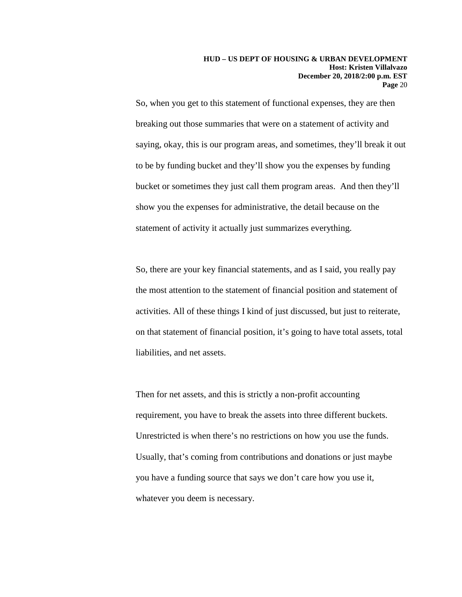So, when you get to this statement of functional expenses, they are then breaking out those summaries that were on a statement of activity and saying, okay, this is our program areas, and sometimes, they'll break it out to be by funding bucket and they'll show you the expenses by funding bucket or sometimes they just call them program areas. And then they'll show you the expenses for administrative, the detail because on the statement of activity it actually just summarizes everything.

So, there are your key financial statements, and as I said, you really pay the most attention to the statement of financial position and statement of activities. All of these things I kind of just discussed, but just to reiterate, on that statement of financial position, it's going to have total assets, total liabilities, and net assets.

Then for net assets, and this is strictly a non-profit accounting requirement, you have to break the assets into three different buckets. Unrestricted is when there's no restrictions on how you use the funds. Usually, that's coming from contributions and donations or just maybe you have a funding source that says we don't care how you use it, whatever you deem is necessary.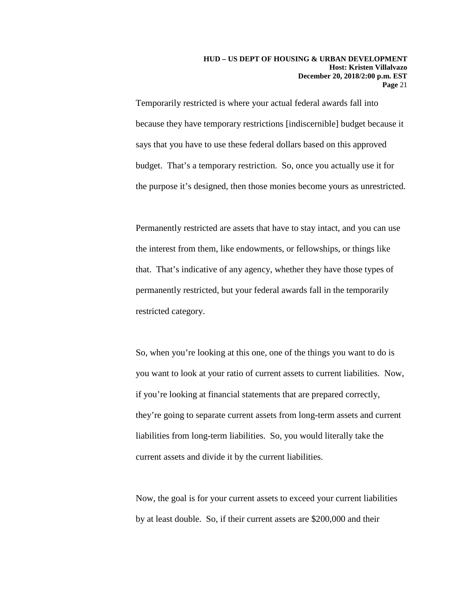Temporarily restricted is where your actual federal awards fall into because they have temporary restrictions [indiscernible] budget because it says that you have to use these federal dollars based on this approved budget. That's a temporary restriction. So, once you actually use it for the purpose it's designed, then those monies become yours as unrestricted.

Permanently restricted are assets that have to stay intact, and you can use the interest from them, like endowments, or fellowships, or things like that. That's indicative of any agency, whether they have those types of permanently restricted, but your federal awards fall in the temporarily restricted category.

So, when you're looking at this one, one of the things you want to do is you want to look at your ratio of current assets to current liabilities. Now, if you're looking at financial statements that are prepared correctly, they're going to separate current assets from long-term assets and current liabilities from long-term liabilities. So, you would literally take the current assets and divide it by the current liabilities.

Now, the goal is for your current assets to exceed your current liabilities by at least double. So, if their current assets are \$200,000 and their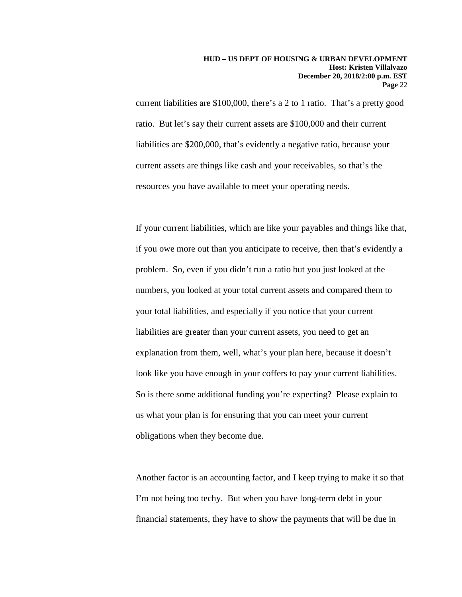current liabilities are \$100,000, there's a 2 to 1 ratio. That's a pretty good ratio. But let's say their current assets are \$100,000 and their current liabilities are \$200,000, that's evidently a negative ratio, because your current assets are things like cash and your receivables, so that's the resources you have available to meet your operating needs.

If your current liabilities, which are like your payables and things like that, if you owe more out than you anticipate to receive, then that's evidently a problem. So, even if you didn't run a ratio but you just looked at the numbers, you looked at your total current assets and compared them to your total liabilities, and especially if you notice that your current liabilities are greater than your current assets, you need to get an explanation from them, well, what's your plan here, because it doesn't look like you have enough in your coffers to pay your current liabilities. So is there some additional funding you're expecting? Please explain to us what your plan is for ensuring that you can meet your current obligations when they become due.

Another factor is an accounting factor, and I keep trying to make it so that I'm not being too techy. But when you have long-term debt in your financial statements, they have to show the payments that will be due in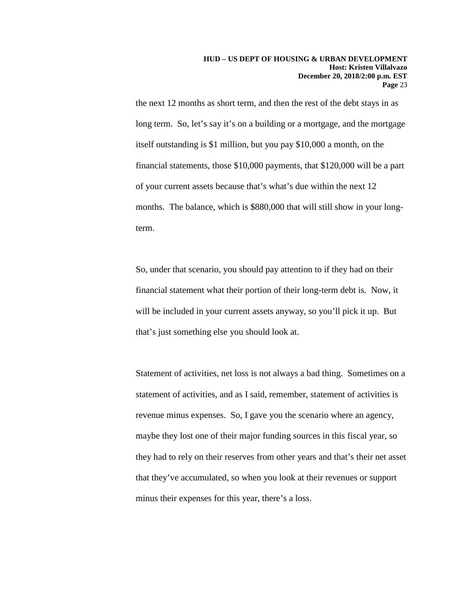the next 12 months as short term, and then the rest of the debt stays in as long term. So, let's say it's on a building or a mortgage, and the mortgage itself outstanding is \$1 million, but you pay \$10,000 a month, on the financial statements, those \$10,000 payments, that \$120,000 will be a part of your current assets because that's what's due within the next 12 months. The balance, which is \$880,000 that will still show in your longterm.

So, under that scenario, you should pay attention to if they had on their financial statement what their portion of their long-term debt is. Now, it will be included in your current assets anyway, so you'll pick it up. But that's just something else you should look at.

Statement of activities, net loss is not always a bad thing. Sometimes on a statement of activities, and as I said, remember, statement of activities is revenue minus expenses. So, I gave you the scenario where an agency, maybe they lost one of their major funding sources in this fiscal year, so they had to rely on their reserves from other years and that's their net asset that they've accumulated, so when you look at their revenues or support minus their expenses for this year, there's a loss.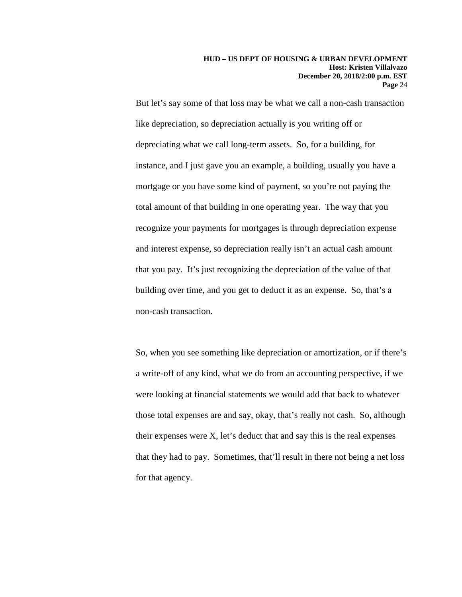But let's say some of that loss may be what we call a non-cash transaction like depreciation, so depreciation actually is you writing off or depreciating what we call long-term assets. So, for a building, for instance, and I just gave you an example, a building, usually you have a mortgage or you have some kind of payment, so you're not paying the total amount of that building in one operating year. The way that you recognize your payments for mortgages is through depreciation expense and interest expense, so depreciation really isn't an actual cash amount that you pay. It's just recognizing the depreciation of the value of that building over time, and you get to deduct it as an expense. So, that's a non-cash transaction.

So, when you see something like depreciation or amortization, or if there's a write-off of any kind, what we do from an accounting perspective, if we were looking at financial statements we would add that back to whatever those total expenses are and say, okay, that's really not cash. So, although their expenses were  $X$ , let's deduct that and say this is the real expenses that they had to pay. Sometimes, that'll result in there not being a net loss for that agency.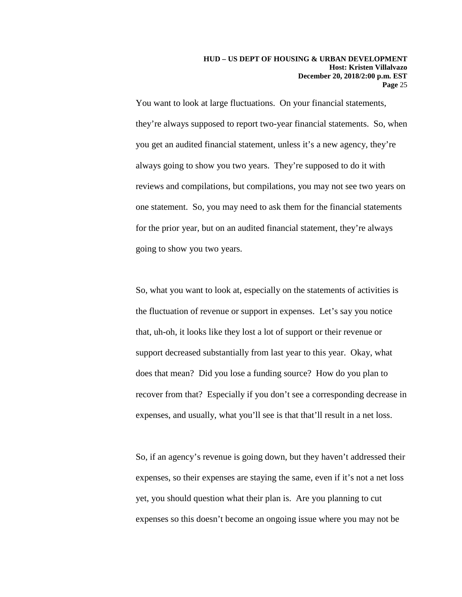You want to look at large fluctuations. On your financial statements, they're always supposed to report two-year financial statements. So, when you get an audited financial statement, unless it's a new agency, they're always going to show you two years. They're supposed to do it with reviews and compilations, but compilations, you may not see two years on one statement. So, you may need to ask them for the financial statements for the prior year, but on an audited financial statement, they're always going to show you two years.

So, what you want to look at, especially on the statements of activities is the fluctuation of revenue or support in expenses. Let's say you notice that, uh-oh, it looks like they lost a lot of support or their revenue or support decreased substantially from last year to this year. Okay, what does that mean? Did you lose a funding source? How do you plan to recover from that? Especially if you don't see a corresponding decrease in expenses, and usually, what you'll see is that that'll result in a net loss.

So, if an agency's revenue is going down, but they haven't addressed their expenses, so their expenses are staying the same, even if it's not a net loss yet, you should question what their plan is. Are you planning to cut expenses so this doesn't become an ongoing issue where you may not be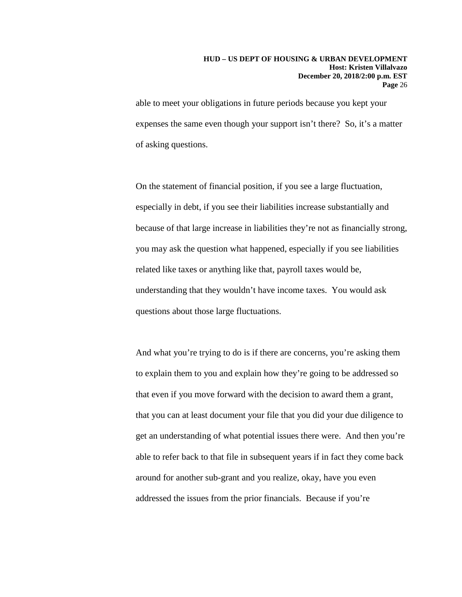#### **HUD – US DEPT OF HOUSING & URBAN DEVELOPMENT Host: Kristen Villalvazo December 20, 2018/2:00 p.m. EST Page** 26

able to meet your obligations in future periods because you kept your expenses the same even though your support isn't there? So, it's a matter of asking questions.

On the statement of financial position, if you see a large fluctuation, especially in debt, if you see their liabilities increase substantially and because of that large increase in liabilities they're not as financially strong, you may ask the question what happened, especially if you see liabilities related like taxes or anything like that, payroll taxes would be, understanding that they wouldn't have income taxes. You would ask questions about those large fluctuations.

And what you're trying to do is if there are concerns, you're asking them to explain them to you and explain how they're going to be addressed so that even if you move forward with the decision to award them a grant, that you can at least document your file that you did your due diligence to get an understanding of what potential issues there were. And then you're able to refer back to that file in subsequent years if in fact they come back around for another sub-grant and you realize, okay, have you even addressed the issues from the prior financials. Because if you're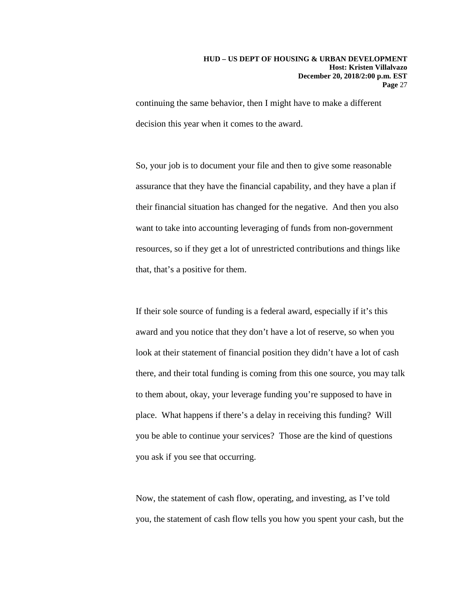continuing the same behavior, then I might have to make a different decision this year when it comes to the award.

So, your job is to document your file and then to give some reasonable assurance that they have the financial capability, and they have a plan if their financial situation has changed for the negative. And then you also want to take into accounting leveraging of funds from non-government resources, so if they get a lot of unrestricted contributions and things like that, that's a positive for them.

If their sole source of funding is a federal award, especially if it's this award and you notice that they don't have a lot of reserve, so when you look at their statement of financial position they didn't have a lot of cash there, and their total funding is coming from this one source, you may talk to them about, okay, your leverage funding you're supposed to have in place. What happens if there's a delay in receiving this funding? Will you be able to continue your services? Those are the kind of questions you ask if you see that occurring.

Now, the statement of cash flow, operating, and investing, as I've told you, the statement of cash flow tells you how you spent your cash, but the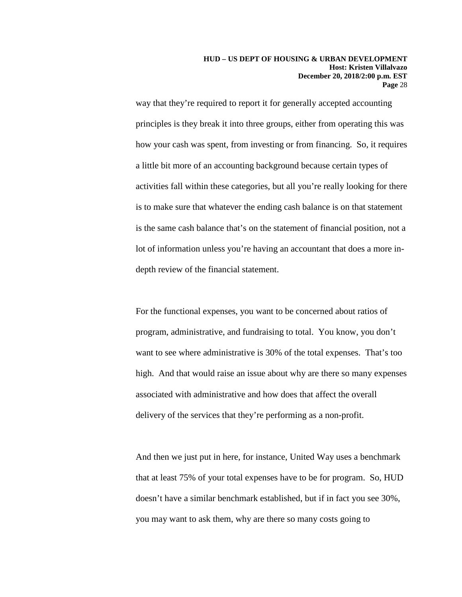way that they're required to report it for generally accepted accounting principles is they break it into three groups, either from operating this was how your cash was spent, from investing or from financing. So, it requires a little bit more of an accounting background because certain types of activities fall within these categories, but all you're really looking for there is to make sure that whatever the ending cash balance is on that statement is the same cash balance that's on the statement of financial position, not a lot of information unless you're having an accountant that does a more indepth review of the financial statement.

For the functional expenses, you want to be concerned about ratios of program, administrative, and fundraising to total. You know, you don't want to see where administrative is 30% of the total expenses. That's too high. And that would raise an issue about why are there so many expenses associated with administrative and how does that affect the overall delivery of the services that they're performing as a non-profit.

And then we just put in here, for instance, United Way uses a benchmark that at least 75% of your total expenses have to be for program. So, HUD doesn't have a similar benchmark established, but if in fact you see 30%, you may want to ask them, why are there so many costs going to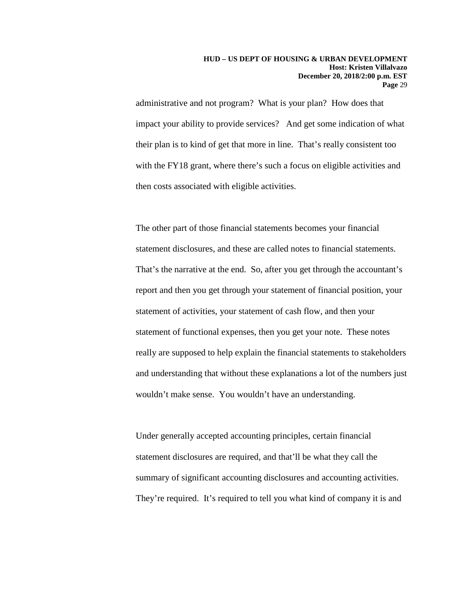administrative and not program? What is your plan? How does that impact your ability to provide services? And get some indication of what their plan is to kind of get that more in line. That's really consistent too with the FY18 grant, where there's such a focus on eligible activities and then costs associated with eligible activities.

The other part of those financial statements becomes your financial statement disclosures, and these are called notes to financial statements. That's the narrative at the end. So, after you get through the accountant's report and then you get through your statement of financial position, your statement of activities, your statement of cash flow, and then your statement of functional expenses, then you get your note. These notes really are supposed to help explain the financial statements to stakeholders and understanding that without these explanations a lot of the numbers just wouldn't make sense. You wouldn't have an understanding.

Under generally accepted accounting principles, certain financial statement disclosures are required, and that'll be what they call the summary of significant accounting disclosures and accounting activities. They're required. It's required to tell you what kind of company it is and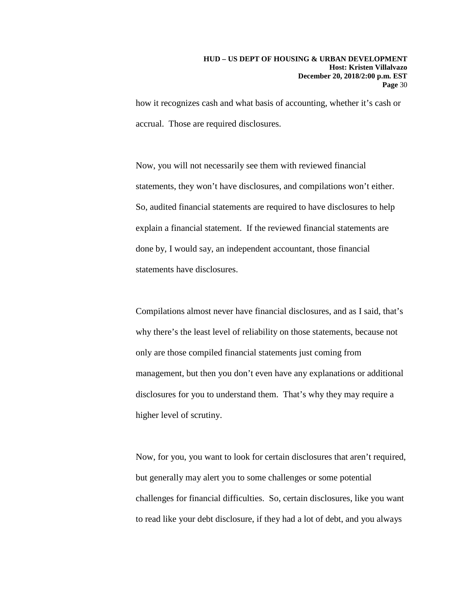how it recognizes cash and what basis of accounting, whether it's cash or accrual. Those are required disclosures.

Now, you will not necessarily see them with reviewed financial statements, they won't have disclosures, and compilations won't either. So, audited financial statements are required to have disclosures to help explain a financial statement. If the reviewed financial statements are done by, I would say, an independent accountant, those financial statements have disclosures.

Compilations almost never have financial disclosures, and as I said, that's why there's the least level of reliability on those statements, because not only are those compiled financial statements just coming from management, but then you don't even have any explanations or additional disclosures for you to understand them. That's why they may require a higher level of scrutiny.

Now, for you, you want to look for certain disclosures that aren't required, but generally may alert you to some challenges or some potential challenges for financial difficulties. So, certain disclosures, like you want to read like your debt disclosure, if they had a lot of debt, and you always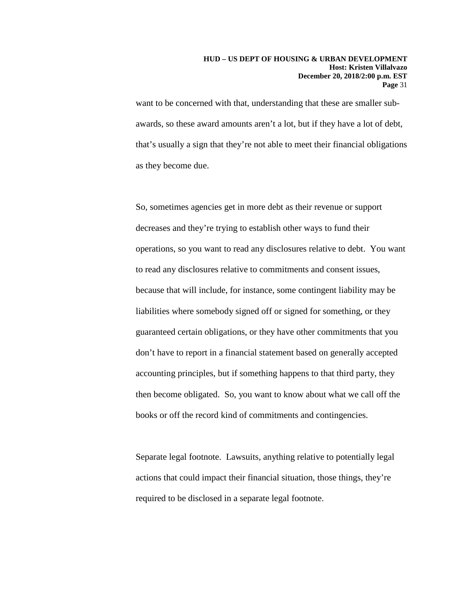want to be concerned with that, understanding that these are smaller subawards, so these award amounts aren't a lot, but if they have a lot of debt, that's usually a sign that they're not able to meet their financial obligations as they become due.

So, sometimes agencies get in more debt as their revenue or support decreases and they're trying to establish other ways to fund their operations, so you want to read any disclosures relative to debt. You want to read any disclosures relative to commitments and consent issues, because that will include, for instance, some contingent liability may be liabilities where somebody signed off or signed for something, or they guaranteed certain obligations, or they have other commitments that you don't have to report in a financial statement based on generally accepted accounting principles, but if something happens to that third party, they then become obligated. So, you want to know about what we call off the books or off the record kind of commitments and contingencies.

Separate legal footnote. Lawsuits, anything relative to potentially legal actions that could impact their financial situation, those things, they're required to be disclosed in a separate legal footnote.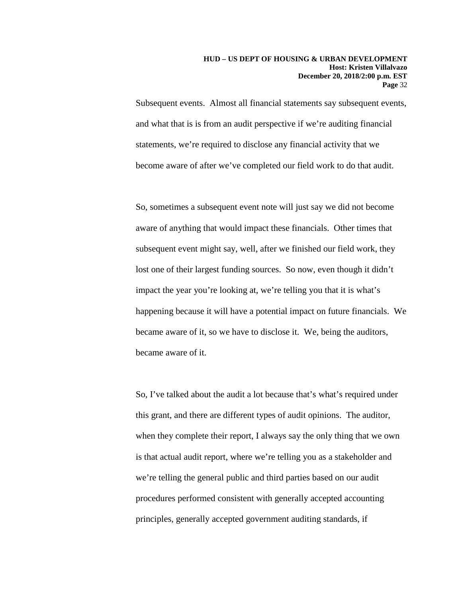Subsequent events. Almost all financial statements say subsequent events, and what that is is from an audit perspective if we're auditing financial statements, we're required to disclose any financial activity that we become aware of after we've completed our field work to do that audit.

So, sometimes a subsequent event note will just say we did not become aware of anything that would impact these financials. Other times that subsequent event might say, well, after we finished our field work, they lost one of their largest funding sources. So now, even though it didn't impact the year you're looking at, we're telling you that it is what's happening because it will have a potential impact on future financials. We became aware of it, so we have to disclose it. We, being the auditors, became aware of it.

So, I've talked about the audit a lot because that's what's required under this grant, and there are different types of audit opinions. The auditor, when they complete their report, I always say the only thing that we own is that actual audit report, where we're telling you as a stakeholder and we're telling the general public and third parties based on our audit procedures performed consistent with generally accepted accounting principles, generally accepted government auditing standards, if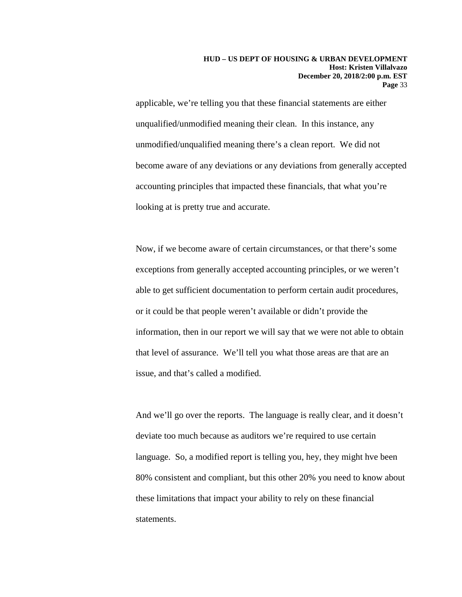applicable, we're telling you that these financial statements are either unqualified/unmodified meaning their clean. In this instance, any unmodified/unqualified meaning there's a clean report. We did not become aware of any deviations or any deviations from generally accepted accounting principles that impacted these financials, that what you're looking at is pretty true and accurate.

Now, if we become aware of certain circumstances, or that there's some exceptions from generally accepted accounting principles, or we weren't able to get sufficient documentation to perform certain audit procedures, or it could be that people weren't available or didn't provide the information, then in our report we will say that we were not able to obtain that level of assurance. We'll tell you what those areas are that are an issue, and that's called a modified.

And we'll go over the reports. The language is really clear, and it doesn't deviate too much because as auditors we're required to use certain language. So, a modified report is telling you, hey, they might hve been 80% consistent and compliant, but this other 20% you need to know about these limitations that impact your ability to rely on these financial statements.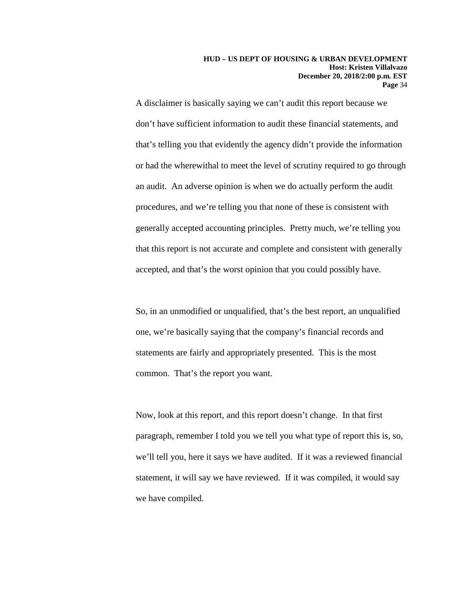A disclaimer is basically saying we can't audit this report because we don't have sufficient information to audit these financial statements, and that's telling you that evidently the agency didn't provide the information or had the wherewithal to meet the level of scrutiny required to go through an audit. An adverse opinion is when we do actually perform the audit procedures, and we're telling you that none of these is consistent with generally accepted accounting principles. Pretty much, we're telling you that this report is not accurate and complete and consistent with generally accepted, and that's the worst opinion that you could possibly have.

So, in an unmodified or unqualified, that's the best report, an unqualified one, we're basically saying that the company's financial records and statements are fairly and appropriately presented. This is the most common. That's the report you want.

Now, look at this report, and this report doesn't change. In that first paragraph, remember I told you we tell you what type of report this is, so, we'll tell you, here it says we have audited. If it was a reviewed financial statement, it will say we have reviewed. If it was compiled, it would say we have compiled.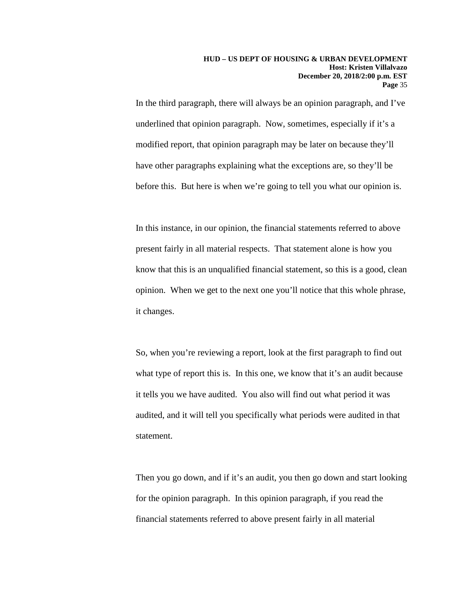In the third paragraph, there will always be an opinion paragraph, and I've underlined that opinion paragraph. Now, sometimes, especially if it's a modified report, that opinion paragraph may be later on because they'll have other paragraphs explaining what the exceptions are, so they'll be before this. But here is when we're going to tell you what our opinion is.

In this instance, in our opinion, the financial statements referred to above present fairly in all material respects. That statement alone is how you know that this is an unqualified financial statement, so this is a good, clean opinion. When we get to the next one you'll notice that this whole phrase, it changes.

So, when you're reviewing a report, look at the first paragraph to find out what type of report this is. In this one, we know that it's an audit because it tells you we have audited. You also will find out what period it was audited, and it will tell you specifically what periods were audited in that statement.

Then you go down, and if it's an audit, you then go down and start looking for the opinion paragraph. In this opinion paragraph, if you read the financial statements referred to above present fairly in all material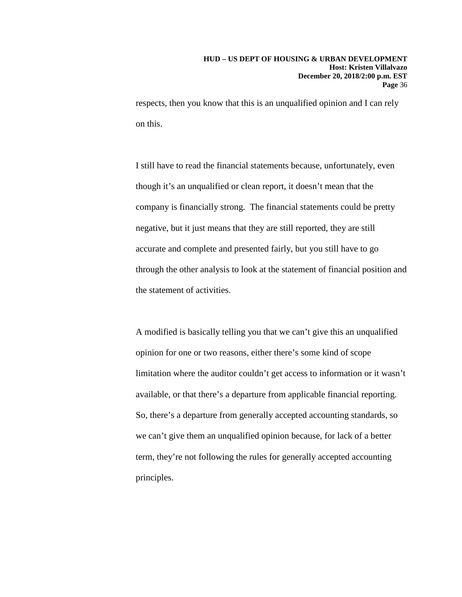respects, then you know that this is an unqualified opinion and I can rely on this.

I still have to read the financial statements because, unfortunately, even though it's an unqualified or clean report, it doesn't mean that the company is financially strong. The financial statements could be pretty negative, but it just means that they are still reported, they are still accurate and complete and presented fairly, but you still have to go through the other analysis to look at the statement of financial position and the statement of activities.

A modified is basically telling you that we can't give this an unqualified opinion for one or two reasons, either there's some kind of scope limitation where the auditor couldn't get access to information or it wasn't available, or that there's a departure from applicable financial reporting. So, there's a departure from generally accepted accounting standards, so we can't give them an unqualified opinion because, for lack of a better term, they're not following the rules for generally accepted accounting principles.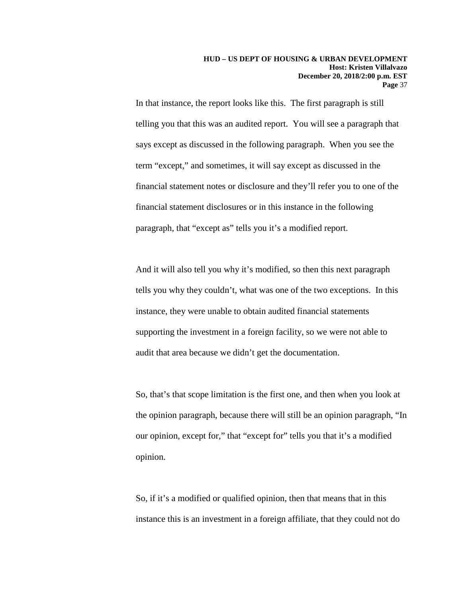In that instance, the report looks like this. The first paragraph is still telling you that this was an audited report. You will see a paragraph that says except as discussed in the following paragraph. When you see the term "except," and sometimes, it will say except as discussed in the financial statement notes or disclosure and they'll refer you to one of the financial statement disclosures or in this instance in the following paragraph, that "except as" tells you it's a modified report.

And it will also tell you why it's modified, so then this next paragraph tells you why they couldn't, what was one of the two exceptions. In this instance, they were unable to obtain audited financial statements supporting the investment in a foreign facility, so we were not able to audit that area because we didn't get the documentation.

So, that's that scope limitation is the first one, and then when you look at the opinion paragraph, because there will still be an opinion paragraph, "In our opinion, except for," that "except for" tells you that it's a modified opinion.

So, if it's a modified or qualified opinion, then that means that in this instance this is an investment in a foreign affiliate, that they could not do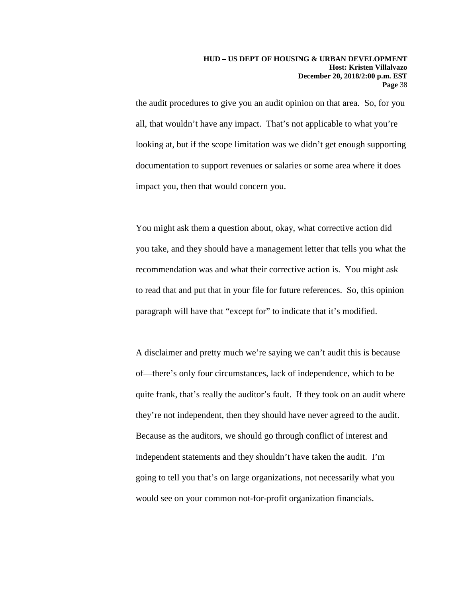the audit procedures to give you an audit opinion on that area. So, for you all, that wouldn't have any impact. That's not applicable to what you're looking at, but if the scope limitation was we didn't get enough supporting documentation to support revenues or salaries or some area where it does impact you, then that would concern you.

You might ask them a question about, okay, what corrective action did you take, and they should have a management letter that tells you what the recommendation was and what their corrective action is. You might ask to read that and put that in your file for future references. So, this opinion paragraph will have that "except for" to indicate that it's modified.

A disclaimer and pretty much we're saying we can't audit this is because of—there's only four circumstances, lack of independence, which to be quite frank, that's really the auditor's fault. If they took on an audit where they're not independent, then they should have never agreed to the audit. Because as the auditors, we should go through conflict of interest and independent statements and they shouldn't have taken the audit. I'm going to tell you that's on large organizations, not necessarily what you would see on your common not-for-profit organization financials.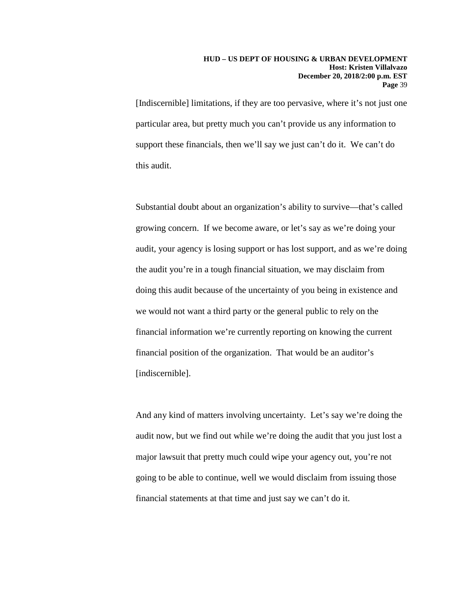[Indiscernible] limitations, if they are too pervasive, where it's not just one particular area, but pretty much you can't provide us any information to support these financials, then we'll say we just can't do it. We can't do this audit.

Substantial doubt about an organization's ability to survive—that's called growing concern. If we become aware, or let's say as we're doing your audit, your agency is losing support or has lost support, and as we're doing the audit you're in a tough financial situation, we may disclaim from doing this audit because of the uncertainty of you being in existence and we would not want a third party or the general public to rely on the financial information we're currently reporting on knowing the current financial position of the organization. That would be an auditor's [indiscernible].

And any kind of matters involving uncertainty. Let's say we're doing the audit now, but we find out while we're doing the audit that you just lost a major lawsuit that pretty much could wipe your agency out, you're not going to be able to continue, well we would disclaim from issuing those financial statements at that time and just say we can't do it.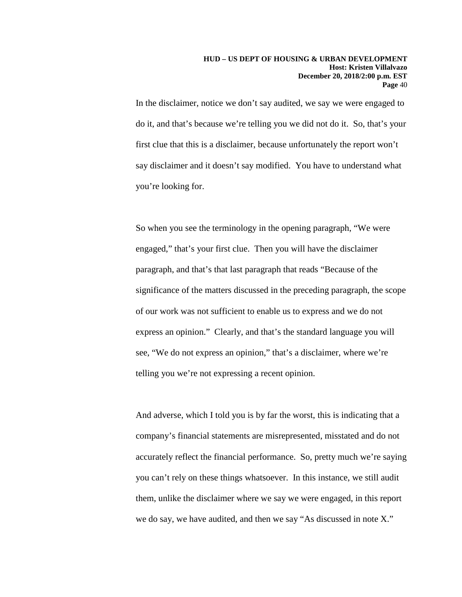In the disclaimer, notice we don't say audited, we say we were engaged to do it, and that's because we're telling you we did not do it. So, that's your first clue that this is a disclaimer, because unfortunately the report won't say disclaimer and it doesn't say modified. You have to understand what you're looking for.

So when you see the terminology in the opening paragraph, "We were engaged," that's your first clue. Then you will have the disclaimer paragraph, and that's that last paragraph that reads "Because of the significance of the matters discussed in the preceding paragraph, the scope of our work was not sufficient to enable us to express and we do not express an opinion." Clearly, and that's the standard language you will see, "We do not express an opinion," that's a disclaimer, where we're telling you we're not expressing a recent opinion.

And adverse, which I told you is by far the worst, this is indicating that a company's financial statements are misrepresented, misstated and do not accurately reflect the financial performance. So, pretty much we're saying you can't rely on these things whatsoever. In this instance, we still audit them, unlike the disclaimer where we say we were engaged, in this report we do say, we have audited, and then we say "As discussed in note X."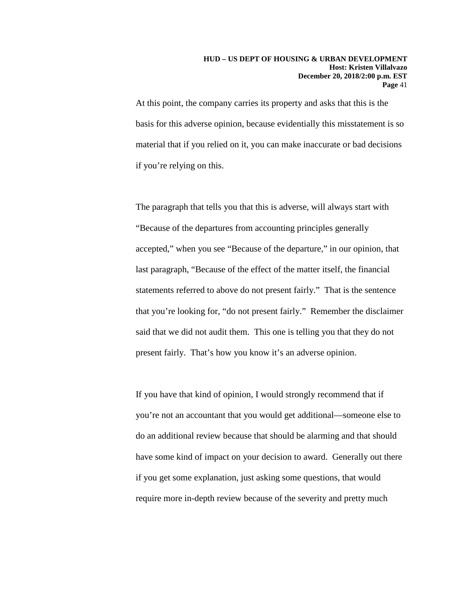#### **HUD – US DEPT OF HOUSING & URBAN DEVELOPMENT Host: Kristen Villalvazo December 20, 2018/2:00 p.m. EST Page** 41

At this point, the company carries its property and asks that this is the basis for this adverse opinion, because evidentially this misstatement is so material that if you relied on it, you can make inaccurate or bad decisions if you're relying on this.

The paragraph that tells you that this is adverse, will always start with "Because of the departures from accounting principles generally accepted," when you see "Because of the departure," in our opinion, that last paragraph, "Because of the effect of the matter itself, the financial statements referred to above do not present fairly." That is the sentence that you're looking for, "do not present fairly." Remember the disclaimer said that we did not audit them. This one is telling you that they do not present fairly. That's how you know it's an adverse opinion.

If you have that kind of opinion, I would strongly recommend that if you're not an accountant that you would get additional—someone else to do an additional review because that should be alarming and that should have some kind of impact on your decision to award. Generally out there if you get some explanation, just asking some questions, that would require more in-depth review because of the severity and pretty much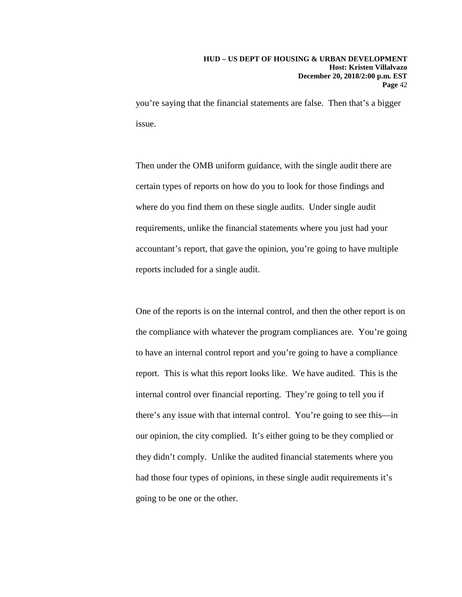you're saying that the financial statements are false. Then that's a bigger issue.

Then under the OMB uniform guidance, with the single audit there are certain types of reports on how do you to look for those findings and where do you find them on these single audits. Under single audit requirements, unlike the financial statements where you just had your accountant's report, that gave the opinion, you're going to have multiple reports included for a single audit.

One of the reports is on the internal control, and then the other report is on the compliance with whatever the program compliances are. You're going to have an internal control report and you're going to have a compliance report. This is what this report looks like. We have audited. This is the internal control over financial reporting. They're going to tell you if there's any issue with that internal control. You're going to see this—in our opinion, the city complied. It's either going to be they complied or they didn't comply. Unlike the audited financial statements where you had those four types of opinions, in these single audit requirements it's going to be one or the other.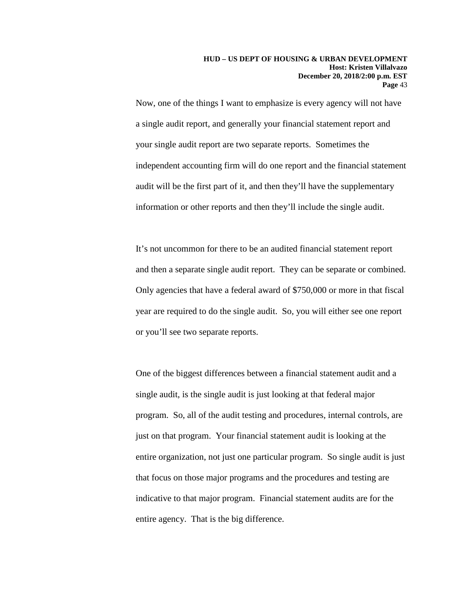Now, one of the things I want to emphasize is every agency will not have a single audit report, and generally your financial statement report and your single audit report are two separate reports. Sometimes the independent accounting firm will do one report and the financial statement audit will be the first part of it, and then they'll have the supplementary information or other reports and then they'll include the single audit.

It's not uncommon for there to be an audited financial statement report and then a separate single audit report. They can be separate or combined. Only agencies that have a federal award of \$750,000 or more in that fiscal year are required to do the single audit. So, you will either see one report or you'll see two separate reports.

One of the biggest differences between a financial statement audit and a single audit, is the single audit is just looking at that federal major program. So, all of the audit testing and procedures, internal controls, are just on that program. Your financial statement audit is looking at the entire organization, not just one particular program. So single audit is just that focus on those major programs and the procedures and testing are indicative to that major program. Financial statement audits are for the entire agency. That is the big difference.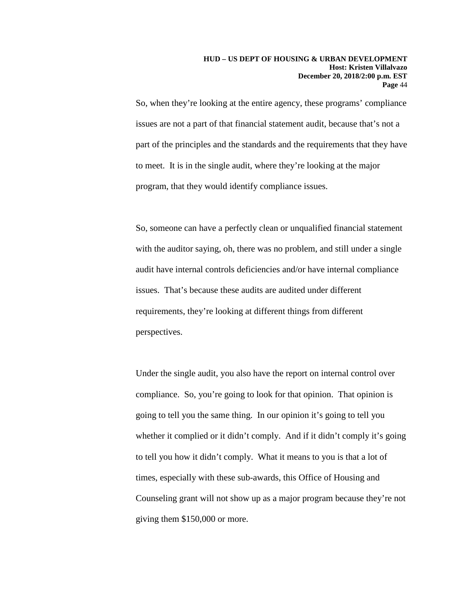So, when they're looking at the entire agency, these programs' compliance issues are not a part of that financial statement audit, because that's not a part of the principles and the standards and the requirements that they have to meet. It is in the single audit, where they're looking at the major program, that they would identify compliance issues.

So, someone can have a perfectly clean or unqualified financial statement with the auditor saying, oh, there was no problem, and still under a single audit have internal controls deficiencies and/or have internal compliance issues. That's because these audits are audited under different requirements, they're looking at different things from different perspectives.

Under the single audit, you also have the report on internal control over compliance. So, you're going to look for that opinion. That opinion is going to tell you the same thing. In our opinion it's going to tell you whether it complied or it didn't comply. And if it didn't comply it's going to tell you how it didn't comply. What it means to you is that a lot of times, especially with these sub-awards, this Office of Housing and Counseling grant will not show up as a major program because they're not giving them \$150,000 or more.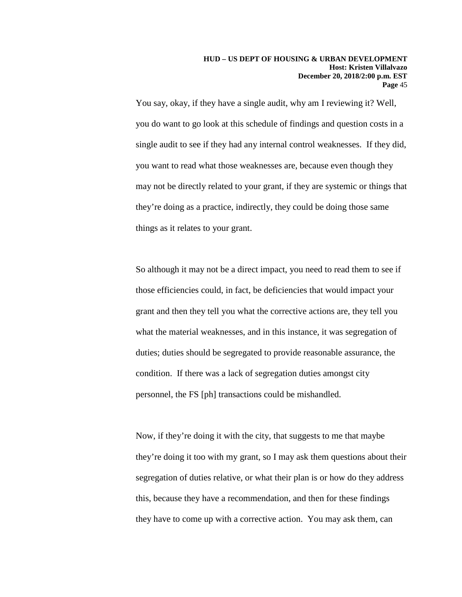You say, okay, if they have a single audit, why am I reviewing it? Well, you do want to go look at this schedule of findings and question costs in a single audit to see if they had any internal control weaknesses. If they did, you want to read what those weaknesses are, because even though they may not be directly related to your grant, if they are systemic or things that they're doing as a practice, indirectly, they could be doing those same things as it relates to your grant.

So although it may not be a direct impact, you need to read them to see if those efficiencies could, in fact, be deficiencies that would impact your grant and then they tell you what the corrective actions are, they tell you what the material weaknesses, and in this instance, it was segregation of duties; duties should be segregated to provide reasonable assurance, the condition. If there was a lack of segregation duties amongst city personnel, the FS [ph] transactions could be mishandled.

Now, if they're doing it with the city, that suggests to me that maybe they're doing it too with my grant, so I may ask them questions about their segregation of duties relative, or what their plan is or how do they address this, because they have a recommendation, and then for these findings they have to come up with a corrective action. You may ask them, can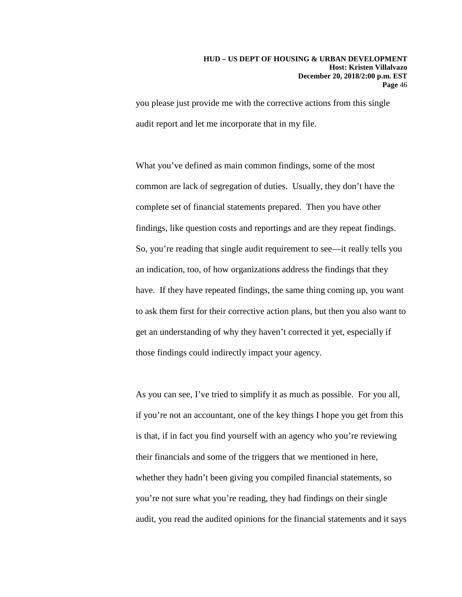you please just provide me with the corrective actions from this single audit report and let me incorporate that in my file.

What you've defined as main common findings, some of the most common are lack of segregation of duties. Usually, they don't have the complete set of financial statements prepared. Then you have other findings, like question costs and reportings and are they repeat findings. So, you're reading that single audit requirement to see—it really tells you an indication, too, of how organizations address the findings that they have. If they have repeated findings, the same thing coming up, you want to ask them first for their corrective action plans, but then you also want to get an understanding of why they haven't corrected it yet, especially if those findings could indirectly impact your agency.

As you can see, I've tried to simplify it as much as possible. For you all, if you're not an accountant, one of the key things I hope you get from this is that, if in fact you find yourself with an agency who you're reviewing their financials and some of the triggers that we mentioned in here, whether they hadn't been giving you compiled financial statements, so you're not sure what you're reading, they had findings on their single audit, you read the audited opinions for the financial statements and it says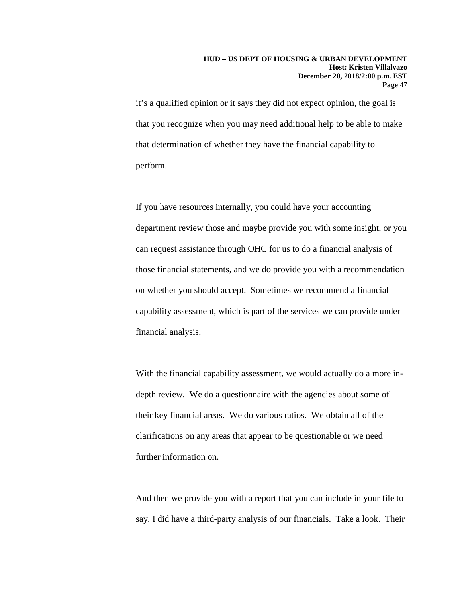it's a qualified opinion or it says they did not expect opinion, the goal is that you recognize when you may need additional help to be able to make that determination of whether they have the financial capability to perform.

If you have resources internally, you could have your accounting department review those and maybe provide you with some insight, or you can request assistance through OHC for us to do a financial analysis of those financial statements, and we do provide you with a recommendation on whether you should accept. Sometimes we recommend a financial capability assessment, which is part of the services we can provide under financial analysis.

With the financial capability assessment, we would actually do a more indepth review. We do a questionnaire with the agencies about some of their key financial areas. We do various ratios. We obtain all of the clarifications on any areas that appear to be questionable or we need further information on.

And then we provide you with a report that you can include in your file to say, I did have a third-party analysis of our financials. Take a look. Their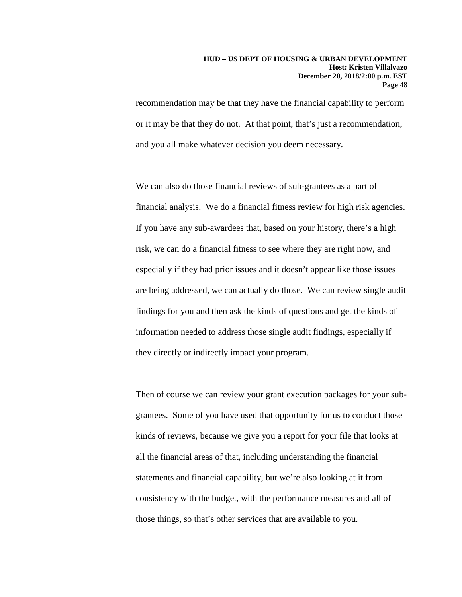#### **HUD – US DEPT OF HOUSING & URBAN DEVELOPMENT Host: Kristen Villalvazo December 20, 2018/2:00 p.m. EST Page** 48

recommendation may be that they have the financial capability to perform or it may be that they do not. At that point, that's just a recommendation, and you all make whatever decision you deem necessary.

We can also do those financial reviews of sub-grantees as a part of financial analysis. We do a financial fitness review for high risk agencies. If you have any sub-awardees that, based on your history, there's a high risk, we can do a financial fitness to see where they are right now, and especially if they had prior issues and it doesn't appear like those issues are being addressed, we can actually do those. We can review single audit findings for you and then ask the kinds of questions and get the kinds of information needed to address those single audit findings, especially if they directly or indirectly impact your program.

Then of course we can review your grant execution packages for your subgrantees. Some of you have used that opportunity for us to conduct those kinds of reviews, because we give you a report for your file that looks at all the financial areas of that, including understanding the financial statements and financial capability, but we're also looking at it from consistency with the budget, with the performance measures and all of those things, so that's other services that are available to you.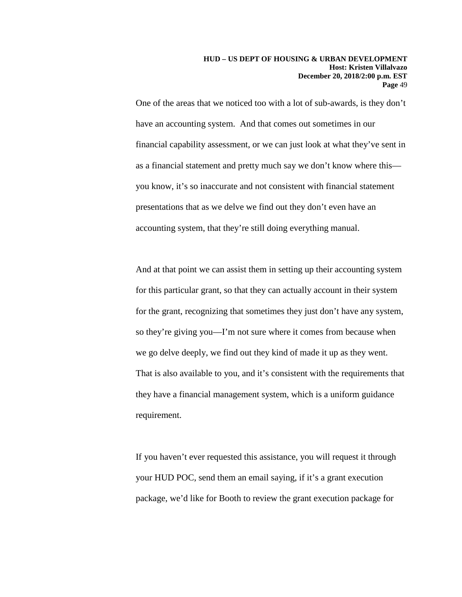One of the areas that we noticed too with a lot of sub-awards, is they don't have an accounting system. And that comes out sometimes in our financial capability assessment, or we can just look at what they've sent in as a financial statement and pretty much say we don't know where this you know, it's so inaccurate and not consistent with financial statement presentations that as we delve we find out they don't even have an accounting system, that they're still doing everything manual.

And at that point we can assist them in setting up their accounting system for this particular grant, so that they can actually account in their system for the grant, recognizing that sometimes they just don't have any system, so they're giving you—I'm not sure where it comes from because when we go delve deeply, we find out they kind of made it up as they went. That is also available to you, and it's consistent with the requirements that they have a financial management system, which is a uniform guidance requirement.

If you haven't ever requested this assistance, you will request it through your HUD POC, send them an email saying, if it's a grant execution package, we'd like for Booth to review the grant execution package for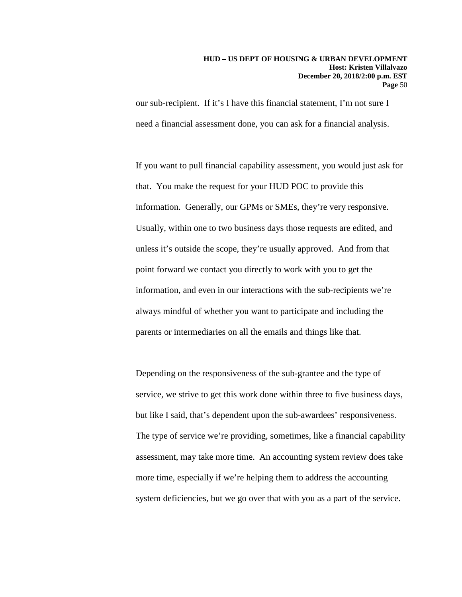#### **HUD – US DEPT OF HOUSING & URBAN DEVELOPMENT Host: Kristen Villalvazo December 20, 2018/2:00 p.m. EST Page** 50

our sub-recipient. If it's I have this financial statement, I'm not sure I need a financial assessment done, you can ask for a financial analysis.

If you want to pull financial capability assessment, you would just ask for that. You make the request for your HUD POC to provide this information. Generally, our GPMs or SMEs, they're very responsive. Usually, within one to two business days those requests are edited, and unless it's outside the scope, they're usually approved. And from that point forward we contact you directly to work with you to get the information, and even in our interactions with the sub-recipients we're always mindful of whether you want to participate and including the parents or intermediaries on all the emails and things like that.

Depending on the responsiveness of the sub-grantee and the type of service, we strive to get this work done within three to five business days, but like I said, that's dependent upon the sub-awardees' responsiveness. The type of service we're providing, sometimes, like a financial capability assessment, may take more time. An accounting system review does take more time, especially if we're helping them to address the accounting system deficiencies, but we go over that with you as a part of the service.